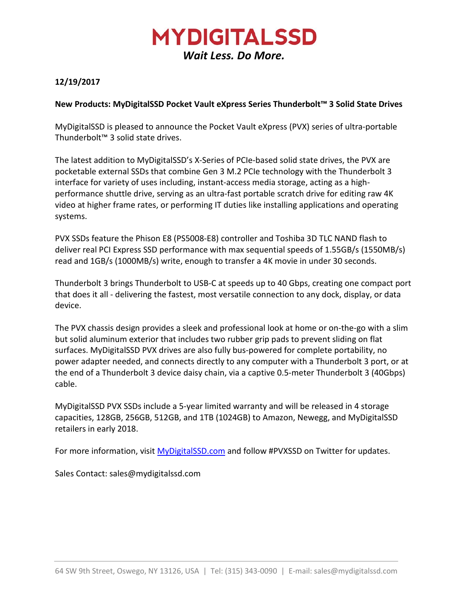## **MYDIGITALSSD** *Wait Less. Do More.*

### **12/19/2017**

#### **New Products: MyDigitalSSD Pocket Vault eXpress Series Thunderbolt™ 3 Solid State Drives**

MyDigitalSSD is pleased to announce the Pocket Vault eXpress (PVX) series of ultra-portable Thunderbolt™ 3 solid state drives.

The latest addition to MyDigitalSSD's X-Series of PCIe-based solid state drives, the PVX are pocketable external SSDs that combine Gen 3 M.2 PCIe technology with the Thunderbolt 3 interface for variety of uses including, instant-access media storage, acting as a highperformance shuttle drive, serving as an ultra-fast portable scratch drive for editing raw 4K video at higher frame rates, or performing IT duties like installing applications and operating systems.

PVX SSDs feature the Phison E8 (PS5008-E8) controller and Toshiba 3D TLC NAND flash to deliver real PCI Express SSD performance with max sequential speeds of 1.55GB/s (1550MB/s) read and 1GB/s (1000MB/s) write, enough to transfer a 4K movie in under 30 seconds.

Thunderbolt 3 brings Thunderbolt to USB-C at speeds up to 40 Gbps, creating one compact port that does it all - delivering the fastest, most versatile connection to any dock, display, or data device.

The PVX chassis design provides a sleek and professional look at home or on-the-go with a slim but solid aluminum exterior that includes two rubber grip pads to prevent sliding on flat surfaces. MyDigitalSSD PVX drives are also fully bus-powered for complete portability, no power adapter needed, and connects directly to any computer with a Thunderbolt 3 port, or at the end of a Thunderbolt 3 device daisy chain, via a captive 0.5-meter Thunderbolt 3 (40Gbps) cable.

MyDigitalSSD PVX SSDs include a 5-year limited warranty and will be released in 4 storage capacities, 128GB, 256GB, 512GB, and 1TB (1024GB) to Amazon, Newegg, and MyDigitalSSD retailers in early 2018.

For more information, visit [MyDigitalSSD.com](http://www.mydigitalssd.com/) and follow #PVXSSD on Twitter for updates.

Sales Contact: sales@mydigitalssd.com